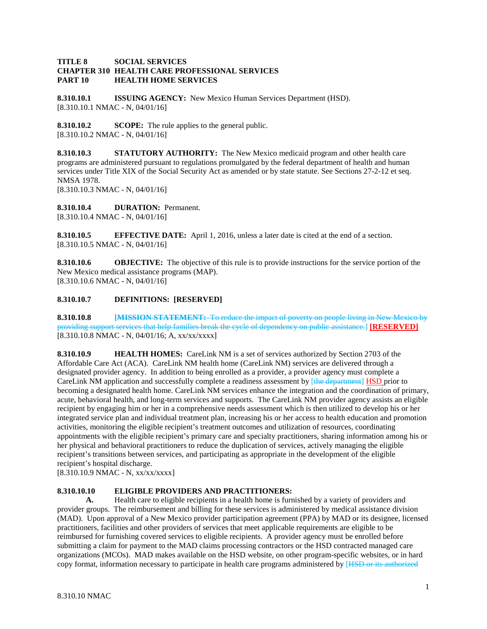# **TITLE 8 SOCIAL SERVICES CHAPTER 310 HEALTH CARE PROFESSIONAL SERVICES PART 10 HEALTH HOME SERVICES**

**8.310.10.1 ISSUING AGENCY:** New Mexico Human Services Department (HSD). [8.310.10.1 NMAC - N, 04/01/16]

**8.310.10.2 SCOPE:** The rule applies to the general public. [8.310.10.2 NMAC - N, 04/01/16]

**8.310.10.3 STATUTORY AUTHORITY:** The New Mexico medicaid program and other health care programs are administered pursuant to regulations promulgated by the federal department of health and human services under Title XIX of the Social Security Act as amended or by state statute. See Sections 27-2-12 et seq. NMSA 1978.

[8.310.10.3 NMAC - N, 04/01/16]

**8.310.10.4 DURATION:** Permanent. [8.310.10.4 NMAC - N, 04/01/16]

**8.310.10.5 EFFECTIVE DATE:** April 1, 2016, unless a later date is cited at the end of a section. [8.310.10.5 NMAC - N, 04/01/16]

**8.310.10.6 OBJECTIVE:** The objective of this rule is to provide instructions for the service portion of the New Mexico medical assistance programs (MAP). [8.310.10.6 NMAC - N, 04/01/16]

# **8.310.10.7 DEFINITIONS: [RESERVED]**

**8.310.10.8 [MISSION STATEMENT:** To reduce the impact of poverty on people living in New Mexico by providing support services that help families break the cycle of dependency on public assistance.] **[RESERVED]** [8.310.10.8 NMAC - N, 04/01/16; A, xx/xx/xxxx]

**8.310.10.9 HEALTH HOMES:** CareLink NM is a set of services authorized by Section 2703 of the Affordable Care Act (ACA). CareLink NM health home (CareLink NM) services are delivered through a designated provider agency. In addition to being enrolled as a provider, a provider agency must complete a CareLink NM application and successfully complete a readiness assessment by [the department] HSD prior to becoming a designated health home. CareLink NM services enhance the integration and the coordination of primary, acute, behavioral health, and long-term services and supports. The CareLink NM provider agency assists an eligible recipient by engaging him or her in a comprehensive needs assessment which is then utilized to develop his or her integrated service plan and individual treatment plan, increasing his or her access to health education and promotion activities, monitoring the eligible recipient's treatment outcomes and utilization of resources, coordinating appointments with the eligible recipient's primary care and specialty practitioners, sharing information among his or her physical and behavioral practitioners to reduce the duplication of services, actively managing the eligible recipient's transitions between services, and participating as appropriate in the development of the eligible recipient's hospital discharge.

[8.310.10.9 NMAC - N, xx/xx/xxxx]

# **8.310.10.10 ELIGIBLE PROVIDERS AND PRACTITIONERS:**

**A.** Health care to eligible recipients in a health home is furnished by a variety of providers and provider groups. The reimbursement and billing for these services is administered by medical assistance division (MAD). Upon approval of a New Mexico provider participation agreement (PPA) by MAD or its designee, licensed practitioners, facilities and other providers of services that meet applicable requirements are eligible to be reimbursed for furnishing covered services to eligible recipients. A provider agency must be enrolled before submitting a claim for payment to the MAD claims processing contractors or the HSD contracted managed care organizations (MCOs). MAD makes available on the HSD website, on other program-specific websites, or in hard copy format, information necessary to participate in health care programs administered by [HSD or its authorized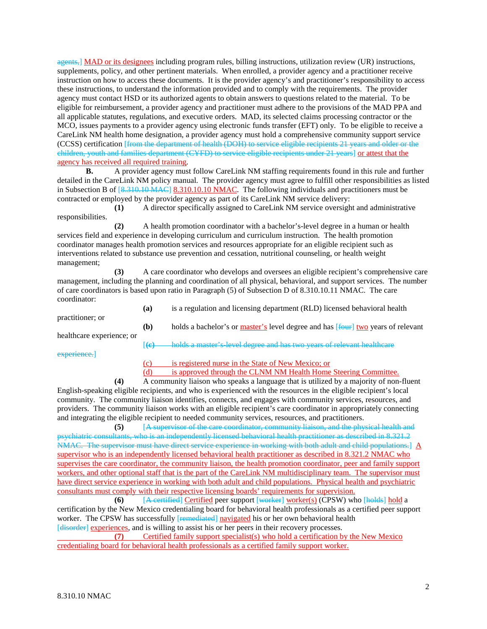agents,] MAD or its designees including program rules, billing instructions, utilization review (UR) instructions, supplements, policy, and other pertinent materials. When enrolled, a provider agency and a practitioner receive instruction on how to access these documents. It is the provider agency's and practitioner's responsibility to access these instructions, to understand the information provided and to comply with the requirements. The provider agency must contact HSD or its authorized agents to obtain answers to questions related to the material. To be eligible for reimbursement, a provider agency and practitioner must adhere to the provisions of the MAD PPA and all applicable statutes, regulations, and executive orders. MAD, its selected claims processing contractor or the MCO, issues payments to a provider agency using electronic funds transfer (EFT) only. To be eligible to receive a CareLink NM health home designation, a provider agency must hold a comprehensive community support service (CCSS) certification [from the department of health (DOH) to service eligible recipients 21 years and older or the children, youth and families department (CYFD) to service eligible recipients under 21 years] or attest that the agency has received all required training.

**B.** A provider agency must follow CareLink NM staffing requirements found in this rule and further detailed in the CareLink NM policy manual. The provider agency must agree to fulfill other responsibilities as listed in Subsection B of [8.310.10 MAC] 8.310.10.10 NMAC. The following individuals and practitioners must be contracted or employed by the provider agency as part of its CareLink NM service delivery:

**(1)** A director specifically assigned to CareLink NM service oversight and administrative responsibilities.

**(2)** A health promotion coordinator with a bachelor's-level degree in a human or health services field and experience in developing curriculum and curriculum instruction. The health promotion coordinator manages health promotion services and resources appropriate for an eligible recipient such as interventions related to substance use prevention and cessation, nutritional counseling, or health weight management;

**(3)** A care coordinator who develops and oversees an eligible recipient's comprehensive care management, including the planning and coordination of all physical, behavioral, and support services. The number of care coordinators is based upon ratio in Paragraph (5) of Subsection D of 8.310.10.11 NMAC. The care coordinator:

| practitioner; or          | (a)                      | is a regulation and licensing department (RLD) licensed behavioral health        |
|---------------------------|--------------------------|----------------------------------------------------------------------------------|
|                           | (b)                      | holds a bachelor's or master's level degree and has [four] two years of relevant |
| healthcare experience; or | $\sf{I} \leftrightarrow$ | holds a master's level degree and has two years of relevant healthcare           |

experience.]

(c) is registered nurse in the State of New Mexico; or

(d) is approved through the CLNM NM Health Home Steering Committee.

**(4)** A community liaison who speaks a language that is utilized by a majority of non-fluent English-speaking eligible recipients, and who is experienced with the resources in the eligible recipient's local community. The community liaison identifies, connects, and engages with community services, resources, and providers. The community liaison works with an eligible recipient's care coordinator in appropriately connecting and integrating the eligible recipient to needed community services, resources, and practitioners.

**(5)** [A supervisor of the care coordinator, community liaison, and the physical health and psychiatric consultants, who is an independently licensed behavioral health practitioner as described in 8.321.2 NMAC. The supervisor must have direct service experience in working with both adult and child populations.]  $\underline{A}$ supervisor who is an independently licensed behavioral health practitioner as described in 8.321.2 NMAC who supervises the care coordinator, the community liaison, the health promotion coordinator, peer and family support workers, and other optional staff that is the part of the CareLink NM multidisciplinary team. The supervisor must have direct service experience in working with both adult and child populations. Physical health and psychiatric consultants must comply with their respective licensing boards' requirements for supervision.

**(6)** [A certified] Certified peer support [worker] worker(s) (CPSW) who [holds] hold a certification by the New Mexico credentialing board for behavioral health professionals as a certified peer support worker. The CPSW has successfully [remediated] navigated his or her own behavioral health

[disorder] experiences, and is willing to assist his or her peers in their recovery processes.<br>(7) Certified family support specialist(s) who hold a certification b **(7)** Certified family support specialist(s) who hold a certification by the New Mexico credentialing board for behavioral health professionals as a certified family support worker.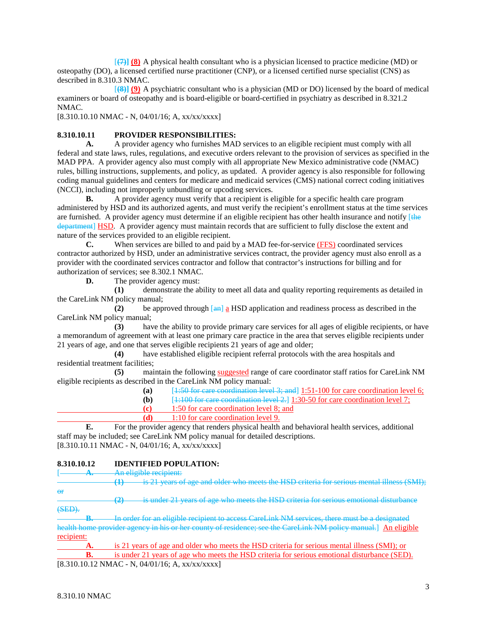[**(7)] (8)** A physical health consultant who is a physician licensed to practice medicine (MD) or osteopathy (DO), a licensed certified nurse practitioner (CNP), or a licensed certified nurse specialist (CNS) as described in 8.310.3 NMAC.

[**(8)] (9)** A psychiatric consultant who is a physician (MD or DO) licensed by the board of medical examiners or board of osteopathy and is board-eligible or board-certified in psychiatry as described in 8.321.2 NMAC.

[8.310.10.10 NMAC - N, 04/01/16; A, xx/xx/xxxx]

### **8.310.10.11 PROVIDER RESPONSIBILITIES:**

**A.** A provider agency who furnishes MAD services to an eligible recipient must comply with all federal and state laws, rules, regulations, and executive orders relevant to the provision of services as specified in the MAD PPA. A provider agency also must comply with all appropriate New Mexico administrative code (NMAC) rules, billing instructions, supplements, and policy, as updated. A provider agency is also responsible for following coding manual guidelines and centers for medicare and medicaid services (CMS) national correct coding initiatives (NCCI), including not improperly unbundling or upcoding services.

**B.** A provider agency must verify that a recipient is eligible for a specific health care program administered by HSD and its authorized agents, and must verify the recipient's enrollment status at the time services are furnished. A provider agency must determine if an eligible recipient has other health insurance and notify [the department] HSD. A provider agency must maintain records that are sufficient to fully disclose the extent and nature of the services provided to an eligible recipient.

**C.** When services are billed to and paid by a MAD fee-for-service (FFS) coordinated services contractor authorized by HSD, under an administrative services contract, the provider agency must also enroll as a provider with the coordinated services contractor and follow that contractor's instructions for billing and for authorization of services; see 8.302.1 NMAC.

**D.** The provider agency must:

**(1)** demonstrate the ability to meet all data and quality reporting requirements as detailed in the CareLink NM policy manual;

**(2)** be approved through [an] a HSD application and readiness process as described in the CareLink NM policy manual;

**(3)** have the ability to provide primary care services for all ages of eligible recipients, or have a memorandum of agreement with at least one primary care practice in the area that serves eligible recipients under 21 years of age, and one that serves eligible recipients 21 years of age and older;

**(4)** have established eligible recipient referral protocols with the area hospitals and residential treatment facilities;<br>(5) main

**(5)** maintain the following suggested range of care coordinator staff ratios for CareLink NM eligible recipients as described in the CareLink NM policy manual:

| (a)<br>$[1:50$ for care coordination level 3; and $[1:51-100$ for care coordination level 6; |
|----------------------------------------------------------------------------------------------|
|----------------------------------------------------------------------------------------------|

**(b)** [1:100 for care coordination level 2.] 1:30-50 for care coordination level 7;

- **(c)** 1:50 for care coordination level 8; and
- **(d)** 1:10 for care coordination level 9.

**E.** For the provider agency that renders physical health and behavioral health services, additional staff may be included; see CareLink NM policy manual for detailed descriptions. [8.310.10.11 NMAC - N, 04/01/16; A, xx/xx/xxxx]

#### **8.310.10.12 IDENTIFIED POPULATION:**

A. An eligible recipient:

**(1)** is 21 years of age and older who meets the HSD criteria for serious mental illness (SMI); or

**(2)** is under 21 years of age who meets the HSD criteria for serious emotional disturbance (SED).

In order for an eligible recipient to access CareLink NM services, there must be a designated health home provider agency in his or her county of residence; see the CareLink NM policy manual.] An eligible recipient:

**A.** is 21 years of age and older who meets the HSD criteria for serious mental illness (SMI); or **B.** is under 21 years of age who meets the HSD criteria for serious emotional disturbance (SED).  $[8.310.10.12 \text{ NMAC - N}, 04/01/16; \text{A}, \text{xx}/\text{xx}/\text{xx} \text{x}]$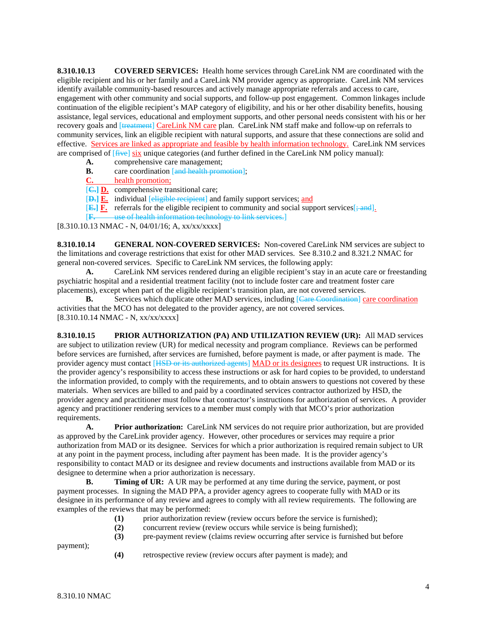**8.310.10.13 COVERED SERVICES:** Health home services through CareLink NM are coordinated with the eligible recipient and his or her family and a CareLink NM provider agency as appropriate. CareLink NM services identify available community-based resources and actively manage appropriate referrals and access to care, engagement with other community and social supports, and follow-up post engagement. Common linkages include continuation of the eligible recipient's MAP category of eligibility, and his or her other disability benefits, housing assistance, legal services, educational and employment supports, and other personal needs consistent with his or her recovery goals and [treatment] CareLink NM care plan. CareLink NM staff make and follow-up on referrals to community services, link an eligible recipient with natural supports, and assure that these connections are solid and effective. Services are linked as appropriate and feasible by health information technology. CareLink NM services are comprised of  $\left[\frac{f\text{if}y}{f\text{if}y} \right]$  six unique categories (and further defined in the CareLink NM policy manual):

- **A.** comprehensive care management;
- **B.** care coordination [and health promotion];<br>**C.** health promotion;
- health promotion;
- [**C.] D.** comprehensive transitional care;
- [**D.] E.** individual [eligible recipient] and family support services; and
- $[\mathbf{E}_r] \mathbf{F}$ . referrals for the eligible recipient to community and social support services  $\frac{1}{r}$  and  $\frac{1}{r}$ .
- [**F.** use of health information technology to link services.]

[8.310.10.13 NMAC - N, 04/01/16; A, xx/xx/xxxx]

**8.310.10.14 GENERAL NON-COVERED SERVICES:** Non-covered CareLink NM services are subject to the limitations and coverage restrictions that exist for other MAD services. See 8.310.2 and 8.321.2 NMAC for general non-covered services. Specific to CareLink NM services, the following apply:<br>A. CareLink NM services rendered during an eligible recipient's stav in

**A.** CareLink NM services rendered during an eligible recipient's stay in an acute care or freestanding psychiatric hospital and a residential treatment facility (not to include foster care and treatment foster care placements), except when part of the eligible recipient's transition plan, are not covered services.

**B.** Services which duplicate other MAD services, including [Care Coordination] care coordination activities that the MCO has not delegated to the provider agency, are not covered services. [8.310.10.14 NMAC - N, xx/xx/xxxx]

**8.310.10.15 PRIOR AUTHORIZATION (PA) AND UTILIZATION REVIEW (UR):** All MAD services are subject to utilization review (UR) for medical necessity and program compliance. Reviews can be performed before services are furnished, after services are furnished, before payment is made, or after payment is made. The provider agency must contact [HSD or its authorized agents] MAD or its designees to request UR instructions. It is the provider agency's responsibility to access these instructions or ask for hard copies to be provided, to understand the information provided, to comply with the requirements, and to obtain answers to questions not covered by these materials. When services are billed to and paid by a coordinated services contractor authorized by HSD, the provider agency and practitioner must follow that contractor's instructions for authorization of services. A provider agency and practitioner rendering services to a member must comply with that MCO's prior authorization requirements.

**A. Prior authorization:** CareLink NM services do not require prior authorization, but are provided as approved by the CareLink provider agency. However, other procedures or services may require a prior authorization from MAD or its designee. Services for which a prior authorization is required remain subject to UR at any point in the payment process, including after payment has been made. It is the provider agency's responsibility to contact MAD or its designee and review documents and instructions available from MAD or its designee to determine when a prior authorization is necessary.

**B. Timing of UR:** A UR may be performed at any time during the service, payment, or post payment processes. In signing the MAD PPA, a provider agency agrees to cooperate fully with MAD or its designee in its performance of any review and agrees to comply with all review requirements. The following are examples of the reviews that may be performed:

- **(1)** prior authorization review (review occurs before the service is furnished);
- **(2)** concurrent review (review occurs while service is being furnished);
- **(3)** pre-payment review (claims review occurring after service is furnished but before

payment);

**(4)** retrospective review (review occurs after payment is made); and